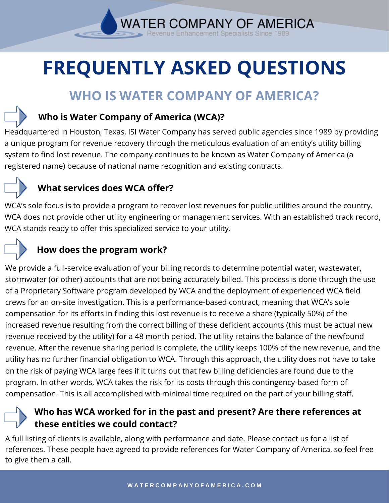**WATER COMPANY OF AMERICA** nue Enhancement Specialists

# **FREQUENTLY ASKED QUESTIONS**

# **WHO IS WATER COMPANY OF AMERICA?**

#### **Who is Water Company of America (WCA)?**

Headquartered in Houston, Texas, ISI Water Company has served public agencies since 1989 by providing a unique program for revenue recovery through the meticulous evaluation of an entity's utility billing system to find lost revenue. The company continues to be known as Water Company of America (a registered name) because of national name recognition and existing contracts.

#### **What services does WCA offer?**

WCA's sole focus is to provide a program to recover lost revenues for public utilities around the country. WCA does not provide other utility engineering or management services. With an established track record, WCA stands ready to offer this specialized service to your utility.

#### **How does the program work?**

We provide a full-service evaluation of your billing records to determine potential water, wastewater, stormwater (or other) accounts that are not being accurately billed. This process is done through the use of a Proprietary Software program developed by WCA and the deployment of experienced WCA field crews for an on-site investigation. This is a performance-based contract, meaning that WCA's sole compensation for its efforts in finding this lost revenue is to receive a share (typically 50%) of the increased revenue resulting from the correct billing of these deficient accounts (this must be actual new revenue received by the utility) for a 48 month period. The utility retains the balance of the newfound revenue. After the revenue sharing period is complete, the utility keeps 100% of the new revenue, and the utility has no further financial obligation to WCA. Through this approach, the utility does not have to take on the risk of paying WCA large fees if it turns out that few billing deficiencies are found due to the program. In other words, WCA takes the risk for its costs through this contingency-based form of compensation. This is all accomplished with minimal time required on the part of your billing staff.

#### **Who has WCA worked for in the past and present? Are there references at these entities we could contact?**

A full listing of clients is available, along with performance and date. Please contact us for a list of references. These people have agreed to provide references for Water Company of America, so feel free to give them a call.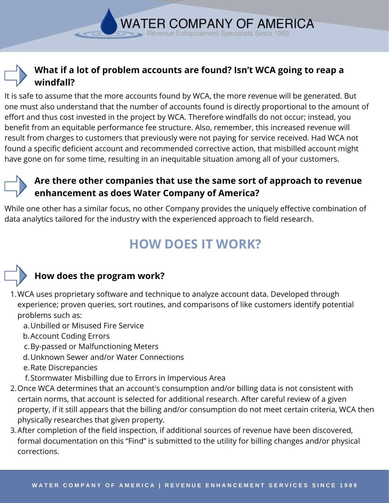#### **What if a lot of problem accounts are found? Isn't WCA going to reap a windfall?**

**WATER COMPANY OF AMERICA** nue Enhancement Specialists Since

It is safe to assume that the more accounts found by WCA, the more revenue will be generated. But one must also understand that the number of accounts found is directly proportional to the amount of effort and thus cost invested in the project by WCA. Therefore windfalls do not occur; instead, you benefit from an equitable performance fee structure. Also, remember, this increased revenue will result from charges to customers that previously were not paying for service received. Had WCA not found a specific deficient account and recommended corrective action, that misbilled account might have gone on for some time, resulting in an inequitable situation among all of your customers.

#### **Are there other companies that use the same sort of approach to revenue enhancement as does Water Company of America?**

While one other has a similar focus, no other Company provides the uniquely effective combination of data analytics tailored for the industry with the experienced approach to field research.

# **HOW DOES IT WORK?**



#### **How does the program work?**

- WCA uses proprietary software and technique to analyze account data. Developed through 1. experience; proven queries, sort routines, and comparisons of like customers identify potential problems such as:
	- Unbilled or Misused Fire Service a.
	- b. Account Coding Errors
	- c. By-passed or Malfunctioning Meters
	- Unknown Sewer and/or Water Connections d.
	- e. Rate Discrepancies
	- Stormwater Misbilling due to Errors in Impervious Area f.
- 2. Once WCA determines that an account's consumption and/or billing data is not consistent with certain norms, that account is selected for additional research. After careful review of a given property, if it still appears that the billing and/or consumption do not meet certain criteria, WCA then physically researches that given property.
- 3. After completion of the field inspection, if additional sources of revenue have been discovered, formal documentation on this "Find" is submitted to the utility for billing changes and/or physical corrections.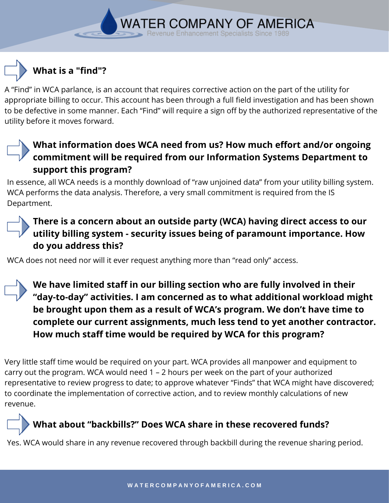A "Find" in WCA parlance, is an account that requires corrective action on the part of the utility for appropriate billing to occur. This account has been through a full field investigation and has been shown to be defective in some manner. Each "Find" will require a sign off by the authorized representative of the utility before it moves forward.

**WATER COMPANY OF AMERICA** nue Enhancement Specialists Since

#### **What information does WCA need from us? How much effort and/or ongoing commitment will be required from our Information Systems Department to support this program?**

In essence, all WCA needs is a monthly download of "raw unjoined data" from your utility billing system. WCA performs the data analysis. Therefore, a very small commitment is required from the IS Department.

#### **There is a concern about an outside party (WCA) having direct access to our utility billing system - security issues being of paramount importance. How do you address this?**

WCA does not need nor will it ever request anything more than "read only" access.

**We have limited staff in our billing section who are fully involved in their "day-to-day" activities. I am concerned as to what additional workload might be brought upon them as a result of WCA's program. We don't have time to complete our current assignments, much less tend to yet another contractor. How much staff time would be required by WCA for this program?**

Very little staff time would be required on your part. WCA provides all manpower and equipment to carry out the program. WCA would need 1 – 2 hours per week on the part of your authorized representative to review progress to date; to approve whatever "Finds" that WCA might have discovered; to coordinate the implementation of corrective action, and to review monthly calculations of new revenue.

## **What about "backbills?" Does WCA share in these recovered funds?**

Yes. WCA would share in any revenue recovered through backbill during the revenue sharing period.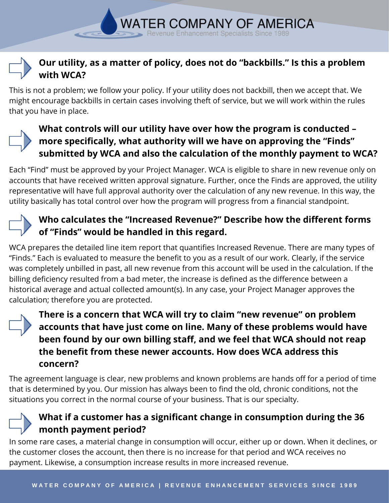#### **Our utility, as a matter of policy, does not do "backbills." Is this a problem with WCA?**

**WATER COMPANY OF AMERICA** enue Enhancement Specialists Since

This is not a problem; we follow your policy. If your utility does not backbill, then we accept that. We might encourage backbills in certain cases involving theft of service, but we will work within the rules that you have in place.



#### **What controls will our utility have over how the program is conducted – more specifically, what authority will we have on approving the "Finds" submitted by WCA and also the calculation of the monthly payment to WCA?**

Each "Find" must be approved by your Project Manager. WCA is eligible to share in new revenue only on accounts that have received written approval signature. Further, once the Finds are approved, the utility representative will have full approval authority over the calculation of any new revenue. In this way, the utility basically has total control over how the program will progress from a financial standpoint.

#### **Who calculates the "Increased Revenue?" Describe how the different forms of "Finds" would be handled in this regard.**

WCA prepares the detailed line item report that quantifies Increased Revenue. There are many types of "Finds." Each is evaluated to measure the benefit to you as a result of our work. Clearly, if the service was completely unbilled in past, all new revenue from this account will be used in the calculation. If the billing deficiency resulted from a bad meter, the increase is defined as the difference between a historical average and actual collected amount(s). In any case, your Project Manager approves the calculation; therefore you are protected.



**There is a concern that WCA will try to claim "new revenue" on problem accounts that have just come on line. Many of these problems would have been found by our own billing staff, and we feel that WCA should not reap the benefit from these newer accounts. How does WCA address this concern?**

The agreement language is clear, new problems and known problems are hands off for a period of time that is determined by you. Our mission has always been to find the old, chronic conditions, not the situations you correct in the normal course of your business. That is our specialty.



#### **What if a customer has a significant change in consumption during the 36 month payment period?**

In some rare cases, a material change in consumption will occur, either up or down. When it declines, or the customer closes the account, then there is no increase for that period and WCA receives no payment. Likewise, a consumption increase results in more increased revenue.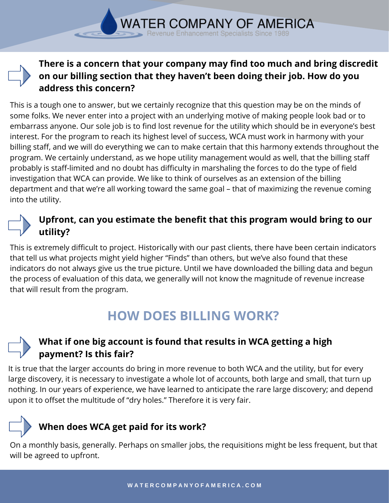#### **There is a concern that your company may find too much and bring discredit on our billing section that they haven't been doing their job. How do you address this concern?**

**WATER COMPANY OF AMERICA** enue Enhancement Specialists Since

This is a tough one to answer, but we certainly recognize that this question may be on the minds of some folks. We never enter into a project with an underlying motive of making people look bad or to embarrass anyone. Our sole job is to find lost revenue for the utility which should be in everyone's best interest. For the program to reach its highest level of success, WCA must work in harmony with your billing staff, and we will do everything we can to make certain that this harmony extends throughout the program. We certainly understand, as we hope utility management would as well, that the billing staff probably is staff-limited and no doubt has difficulty in marshaling the forces to do the type of field investigation that WCA can provide. We like to think of ourselves as an extension of the billing department and that we're all working toward the same goal – that of maximizing the revenue coming into the utility.

#### **Upfront, can you estimate the benefit that this program would bring to our utility?**

This is extremely difficult to project. Historically with our past clients, there have been certain indicators that tell us what projects might yield higher "Finds" than others, but we've also found that these indicators do not always give us the true picture. Until we have downloaded the billing data and begun the process of evaluation of this data, we generally will not know the magnitude of revenue increase that will result from the program.

# **HOW DOES BILLING WORK?**

#### **What if one big account is found that results in WCA getting a high payment? Is this fair?**

It is true that the larger accounts do bring in more revenue to both WCA and the utility, but for every large discovery, it is necessary to investigate a whole lot of accounts, both large and small, that turn up nothing. In our years of experience, we have learned to anticipate the rare large discovery; and depend upon it to offset the multitude of "dry holes." Therefore it is very fair.

# **When does WCA get paid for its work?**

On a monthly basis, generally. Perhaps on smaller jobs, the requisitions might be less frequent, but that will be agreed to upfront.